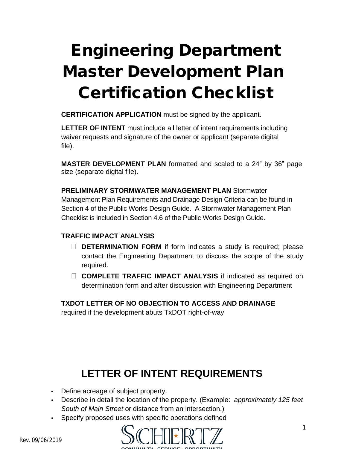# **Engineering Department Master Development Plan Certification Checklist**

**CERTIFICATION APPLICATION** must be signed by the applicant.

**LETTER OF INTENT** must include all letter of intent requirements including waiver requests and signature of the owner or applicant (separate digital file).

**MASTER DEVELOPMENT PLAN** formatted and scaled to a 24" by 36" page size (separate digital file).

**PRELIMINARY STORMWATER MANAGEMENT PLAN** Stormwater Management Plan Requirements and Drainage Design Criteria can be found in Section 4 of the Public Works Design Guide. A Stormwater Management Plan Checklist is included in Section 4.6 of the Public Works Design Guide.

#### **TRAFFIC IMPACT ANALYSIS**

- **DETERMINATION FORM** if form indicates a study is required; please contact the Engineering Department to discuss the scope of the study required.
- **COMPLETE TRAFFIC IMPACT ANALYSIS** if indicated as required on determination form and after discussion with Engineering Department

#### **TXDOT LETTER OF NO OBJECTION TO ACCESS AND DRAINAGE**

required if the development abuts TxDOT right-of-way

## **LETTER OF INTENT REQUIREMENTS**

- Define acreage of subject property.
- Describe in detail the location of the property. (Example: *approximately 125 feet South of Main Street* or distance from an intersection.)
- Specify proposed uses with specific operations defined

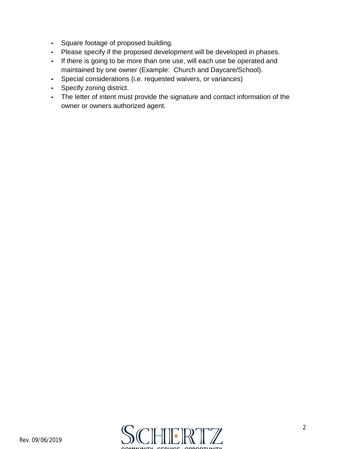- Square footage of proposed building.
- Please specify if the proposed development will be developed in phases.
- If there is going to be more than one use, will each use be operated and maintained by one owner (Example: Church and Daycare/School).
- Special considerations (i.e. requested waivers, or variances)
- Specify zoning district.
- The letter of intent must provide the signature and contact information of the owner or owners authorized agent.

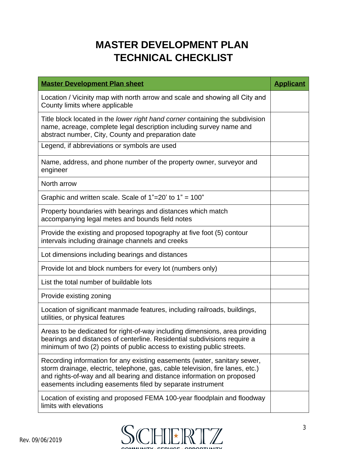### **MASTER DEVELOPMENT PLAN TECHNICAL CHECKLIST**

| <b>Master Development Plan sheet</b>                                                                                                                                                                                                                                                              | <b>Applicant</b> |
|---------------------------------------------------------------------------------------------------------------------------------------------------------------------------------------------------------------------------------------------------------------------------------------------------|------------------|
| Location / Vicinity map with north arrow and scale and showing all City and<br>County limits where applicable                                                                                                                                                                                     |                  |
| Title block located in the lower right hand corner containing the subdivision<br>name, acreage, complete legal description including survey name and<br>abstract number, City, County and preparation date                                                                                        |                  |
| Legend, if abbreviations or symbols are used                                                                                                                                                                                                                                                      |                  |
| Name, address, and phone number of the property owner, surveyor and<br>engineer                                                                                                                                                                                                                   |                  |
| North arrow                                                                                                                                                                                                                                                                                       |                  |
| Graphic and written scale. Scale of $1"=20'$ to $1" = 100"$                                                                                                                                                                                                                                       |                  |
| Property boundaries with bearings and distances which match<br>accompanying legal metes and bounds field notes                                                                                                                                                                                    |                  |
| Provide the existing and proposed topography at five foot (5) contour<br>intervals including drainage channels and creeks                                                                                                                                                                         |                  |
| Lot dimensions including bearings and distances                                                                                                                                                                                                                                                   |                  |
| Provide lot and block numbers for every lot (numbers only)                                                                                                                                                                                                                                        |                  |
| List the total number of buildable lots                                                                                                                                                                                                                                                           |                  |
| Provide existing zoning                                                                                                                                                                                                                                                                           |                  |
| Location of significant manmade features, including railroads, buildings,<br>utilities, or physical features                                                                                                                                                                                      |                  |
| Areas to be dedicated for right-of-way including dimensions, area providing<br>bearings and distances of centerline. Residential subdivisions require a<br>minimum of two (2) points of public access to existing public streets.                                                                 |                  |
| Recording information for any existing easements (water, sanitary sewer,<br>storm drainage, electric, telephone, gas, cable television, fire lanes, etc.)<br>and rights-of-way and all bearing and distance information on proposed<br>easements including easements filed by separate instrument |                  |
| Location of existing and proposed FEMA 100-year floodplain and floodway<br>limits with elevations                                                                                                                                                                                                 |                  |

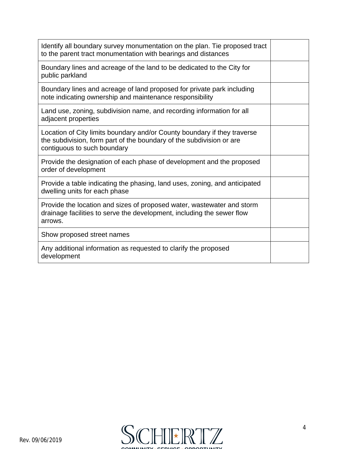| Identify all boundary survey monumentation on the plan. Tie proposed tract<br>to the parent tract monumentation with bearings and distances                                     |  |
|---------------------------------------------------------------------------------------------------------------------------------------------------------------------------------|--|
| Boundary lines and acreage of the land to be dedicated to the City for<br>public parkland                                                                                       |  |
| Boundary lines and acreage of land proposed for private park including<br>note indicating ownership and maintenance responsibility                                              |  |
| Land use, zoning, subdivision name, and recording information for all<br>adjacent properties                                                                                    |  |
| Location of City limits boundary and/or County boundary if they traverse<br>the subdivision, form part of the boundary of the subdivision or are<br>contiguous to such boundary |  |
| Provide the designation of each phase of development and the proposed<br>order of development                                                                                   |  |
| Provide a table indicating the phasing, land uses, zoning, and anticipated<br>dwelling units for each phase                                                                     |  |
| Provide the location and sizes of proposed water, wastewater and storm<br>drainage facilities to serve the development, including the sewer flow<br>arrows.                     |  |
| Show proposed street names                                                                                                                                                      |  |
| Any additional information as requested to clarify the proposed<br>development                                                                                                  |  |